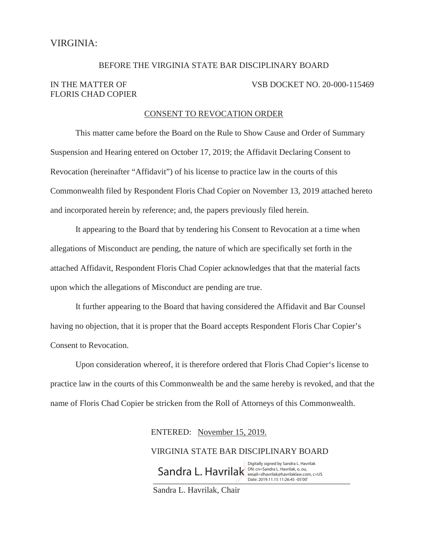# BEFORE THE VIRGINIA STATE BAR DISCIPLINARY BOARD IN THE MATTER OF VSB DOCKET NO. 20-000-115469 FLORIS CHAD COPIER

#### CONSENT TO REVOCATION ORDER

This matter came before the Board on the Rule to Show Cause and Order of Summary Suspension and Hearing entered on October 17, 2019; the Affidavit Declaring Consent to Revocation (hereinafter "Affidavit") of his license to practice law in the courts of this Commonwealth filed by Respondent Floris Chad Copier on November 13, 2019 attached hereto and incorporated herein by reference; and, the papers previously filed herein.

It appearing to the Board that by tendering his Consent to Revocation at a time when allegations of Misconduct are pending, the nature of which are specifically set forth in the attached Affidavit, Respondent Floris Chad Copier acknowledges that that the material facts upon which the allegations of Misconduct are pending are true.

It further appearing to the Board that having considered the Affidavit and Bar Counsel having no objection, that it is proper that the Board accepts Respondent Floris Char Copier's Consent to Revocation.

Upon consideration whereof, it is therefore ordered that Floris Chad Copier's license to practice law in the courts of this Commonwealth be and the same hereby is revoked, and that the name of Floris Chad Copier be stricken from the Roll of Attorneys of this Commonwealth.

ENTERED: November 15, 2019.

VIRGINIA STATE BAR DISCIPLINARY BOARD \_\_\_\_\_\_\_\_\_\_\_\_\_\_\_\_\_\_\_\_\_\_\_\_\_\_\_\_\_\_\_\_\_\_\_\_\_\_\_\_\_\_\_\_\_\_\_ Date: 2019.11.15 11:26:45 -05'00'Sandra L. Havrilak, Chair  $\mathsf{Sandra}\ \mathsf{L}.\ \mathsf{Having}\ \mathsf{div}:\mathsf{Ran}.\ \mathsf{Lan}_\mathsf{final}=\mathsf{SInavrilak}\ \mathsf{Can}_\mathsf{in}.\ \mathsf{Can}_\mathsf{in}.\ \mathsf{C}=\mathsf{US}$ Digitally signed by Sandra L. Havrilak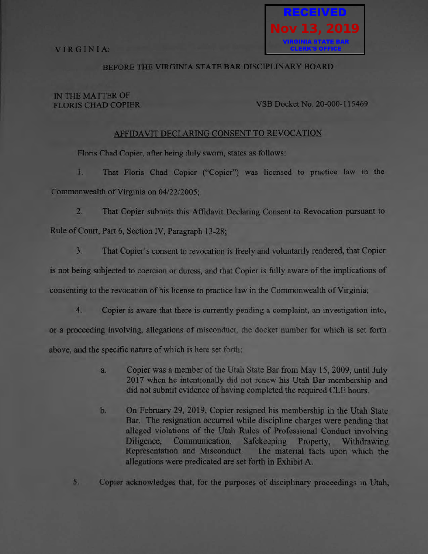

## **REFORE THE VIRGINIA STATE BAR DISCIPLINARY BOARD**

#### IN THE MATTER OF **FLORIS CHAD COPIER**

#### VSB Docket No. 20-000-115469

#### AFFIDAVIT DECLARING CONSENT TO REVOCATION

Floris Chad Copier, after being duly sworn, states as follows:

1. That Floris Chad Copier ("Copier") was licensed to practice law in the Commonwealth of Virginia on 04/22/2005;

 $2.$ That Copier submits this Affidavit Declaring Consent to Revocation pursuant to Rule of Court, Part 6, Section IV, Paragraph 13-28;

 $3.$ That Copier's consent to revocation is freely and voluntarily rendered, that Copier

is not being subjected to coercion or duress, and that Copier is fully aware of the implications of

consenting to the revocation of his license to practice law in the Commonwealth of Virginia;

 $4.$ Copier is aware that there is currently pending a complaint, an investigation into,

or a proceeding involving, allegations of misconduct, the docket number for which is set forth

above, and the specific nature of which is here set forth:

- Copier was a member of the Utah State Bar from May 15, 2009, until July  $a.$ 2017 when he intentionally did not renew his Utah Bar membership and did not submit evidence of having completed the required CLE hours.
- On February 29, 2019, Copier resigned his membership in the Utah State b. Bar. The resignation occurred while discipline charges were pending that alleged violations of the Utah Rules of Professional Conduct involving Communication, Safekeeping Property, Diligence. Withdrawing Representation and Misconduct. The material facts upon which the allegations were predicated are set forth in Exhibit A.

Copier acknowledges that, for the purposes of disciplinary proceedings in Utah. 5.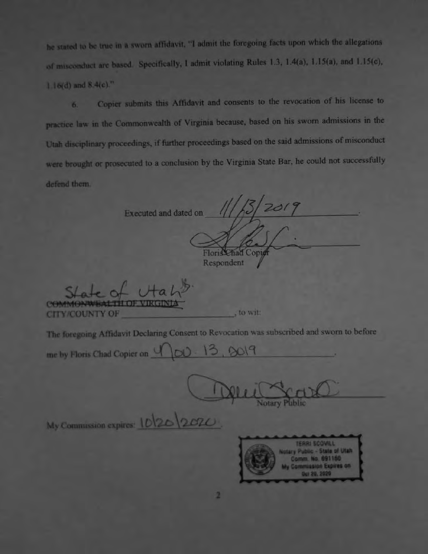he stated to be true in a sworn affidavit, "I admit the foregoing facts upon which the allegations of misconduct are based. Specifically, I admit violating Rules 1.3, 1.4(a), 1.15(a), and 1.15(c),  $1.16(d)$  and  $8.4(c)$ ."

Copier submits this Affidavit and consents to the revocation of his license to 6. practice law in the Commonwealth of Virginia because, based on his sworn admissions in the Utah disciplinary proceedings, if further proceedings based on the said admissions of misconduct were brought or prosecuted to a conclusion by the Virginia State Bar, he could not successfully defend them.

Executed and dated on

Floris Chad Copiet Respondent

**CITY/COUNTY OF** 

to wit:

The foregoing Affidavit Declaring Consent to Revocation was subscribed and sworn to before

me by Floris Chad Copier on 4 |00 - 13, 2019

My Commission expires: 10/20 2020

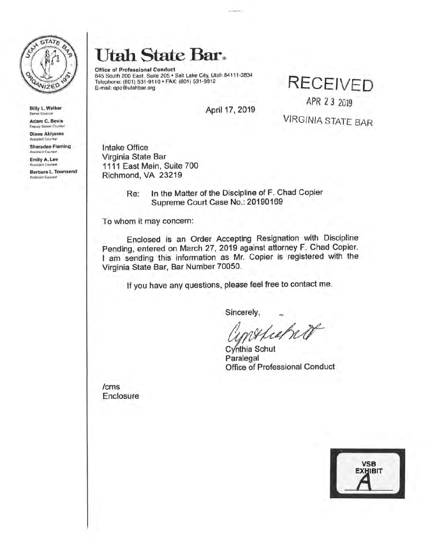

Billy L. Walker

Adam C. Bevis Deputy Sarren Counsel

Diane Akiyama<br>Assistant Counsei

Sharadee Fleming

Emily A. Lee Assistant Court

Barbara L. Townsend

# **Utal1 State Bar~**

**Office of Professional Conduct**  645 South 200 East, Suite 205 • Salt Lake City, Ulah 84111 -3834 Telephone:. (801) 531-9110 • **FAX:** (801) 531-9912 **RECEIVED** 

APR 23 2019

April 17, 2019

VIRGINIA STATE BAR

Intake Office Virginia State Bar 1111 East Main, Suite 700 Richmond, VA 23219

> Re: In the Matter of the Discipline of F. Chad Copier Supreme Court Case **No.:** 20190169

To whom it may concern:

Enclosed is an Order Accepting Resignation with Discipline Pending, entered on March 27, 2019 against attorney F. Chad Copier. I am sending this information as Mr. Copier is registered with the Virginia State Bar, Bar Number 70050.

If you have any questions, please feel free to contact me.

Sincerely,

please feel free to contact me.<br>
Sincerely,<br>
Cynthia Schut<br>
Paralegal<br>
Paralegal<br>
Paralegal<br>
Paralegal<br>
Paralegal<br>
Paralegal

Paralegal Office of Professional Conduct

/ems Enclosure

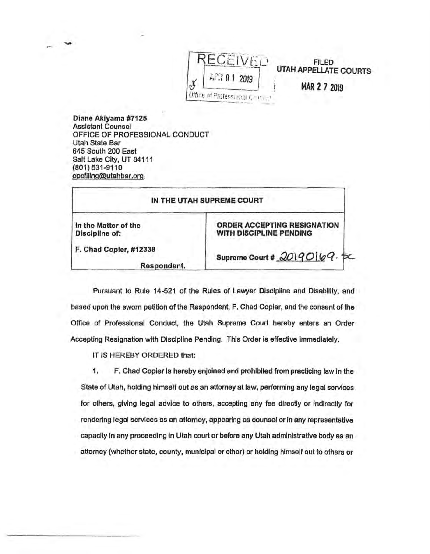

Diane Akiyama #7125 Assistant Counsel OFFICE OF PROFESSIONAL CONDUCT Utah State Bar 645 South 200 East Salt Lake City, UT 84111 (801) 531-9110 opcfiling@utahbar.org

-

|                                        | IN THE UTAH SUPREME COURT                                     |
|----------------------------------------|---------------------------------------------------------------|
| In the Matter of the<br>Discipline of: | <b>ORDER ACCEPTING RESIGNATION</b><br>WITH DISCIPLINE PENDING |
| F. Chad Copier, #12338<br>Respondent.  | Supreme Court # 20190169.                                     |

Pursuant to Rule 14-521 of the Rules of Lawyer Discipline and Disability, and based upon the sworn petition of the Respondent, F. Chad Copier, and the consent of the Office of Professional Conduct, the Utah Supreme Court hereby enters an Order Accepting Resignation with Discipline Pending. This Order is effective immediately.

IT IS HEREBY ORDERED that:

1. F. Chad Copier Is hereby enjoined and prohibited from practicing law In the State of Utah, holding himself out as an attorney at Jaw, performing any legal services for others, giving legal advice to others, accepting any fee directly or indirectly for rendering legal services as an attorney, appearing as counsel or In any representative capacity In any proceeding In Utah court or before any Utah administrative body as an attorney (whether state, county, munfclpal or other) or holding hfmself out to others or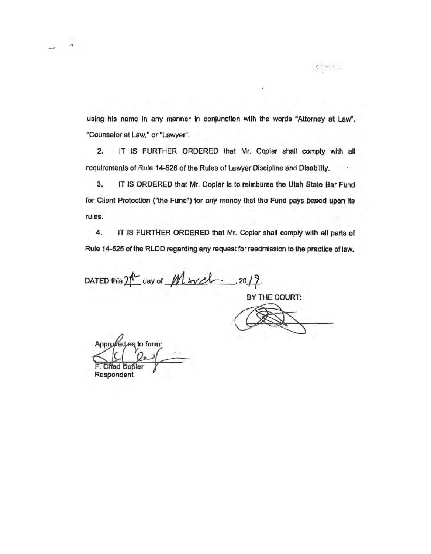using his name in any manner in conjunction with the words "Attorney at Law", "Counselor at Law," or "Lawyer",

 $2.$ IT IS FURTHER ORDERED that Mr. Copler shall comply with all requirements of Rule 14-526 of the Rules of Lawyer Discipline and Disability.

3. IT IS ORDERED that Mr. Copier is to reimburse the Utah State Bar Fund for Client Protection ("the Fund") for any money that the Fund pays based upon its rules.

4. IT IS FURTHER ORDERED that Mr. Copier shall comply with all parts of Rule 14-525 of the RLDD regarding any request for readmission to the practice of law.

DATED this  $2\sqrt[n]{\omega}$  day of  $M$  avelones, 20/2.

BY THE COURT:

Approved as to form: **Chad Copier** Respondent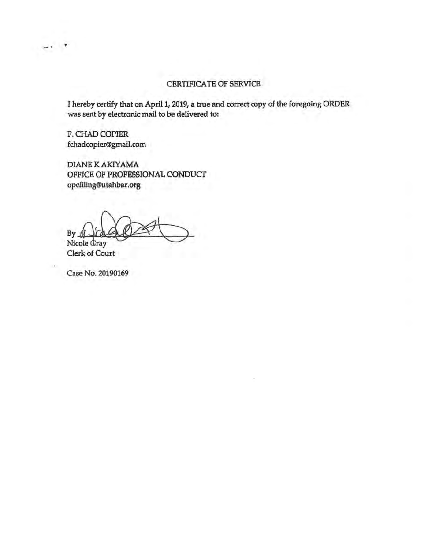# CERTIFICATE OF SERVICE

I hereby certify that on April 1, 2019, a true and correct copy of the foregoing ORDER was sent by electronic mail to be delivered to:

F. CHAD COPIER fchadcopier@gmail.com

 $\rightarrow$ 

**DIANE K AKIYAMA** OFFICE OF PROFESSIONAL CONDUCT opcfiling@utahbar.org

By Nicole Gray

Clerk of Court

Case No. 20190169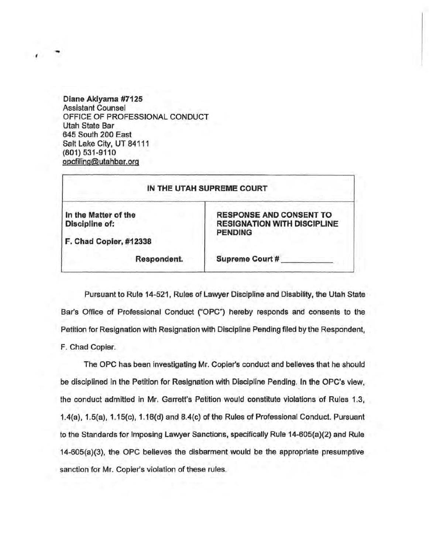Diane **Akiyama #7125**  Assistant Counsel OFFICE OF PROFESSIONAL CONDUCT Utah State Bar 645 South 200 East Salt Lake City, UT 84111 (801) 531-9110 opcfiling@utahbar.org

 $\cdot$  :

| IN THE UTAH SUPREME COURT                                        |                                                                                        |
|------------------------------------------------------------------|----------------------------------------------------------------------------------------|
| In the Matter of the<br>Discipline of:<br>F. Chad Copier, #12338 | <b>RESPONSE AND CONSENT TO</b><br><b>RESIGNATION WITH DISCIPLINE</b><br><b>PENDING</b> |
| Respondent.                                                      | Supreme Court #                                                                        |

Pursuant to Rule 14-521, Rules of Lawyer Oiscipline and Disability, the Utah State Bar's Office of Professional Conduct ("OPC") hereby responds and consents to the Petition for Resignation With Resignation With Discipline Pending filed by the Respondent, F. Chad Copier.

The OPC has been investigating Mr. Copier's conduct and believes that he should be disciplined in the Petition for Resignation with Discipline Pending. In the OPC's view; the conduct admitted in Mr. Garrett's Petition would constitute violations of Rules 1.3, 1.4(a), 1.5(a), 1.15(c), 1.16(d) and 8.4(c) of the Rules of Professional Conduct. Pursuant to the Standards for Imposing Lawyer Sanctions, specifically Rule 14-605(a)(2) and Rule 14-605(a)(3), the OPC believes the disbarment would be the appropriate presumptive sanction for Mr. Copier's violation of these rules.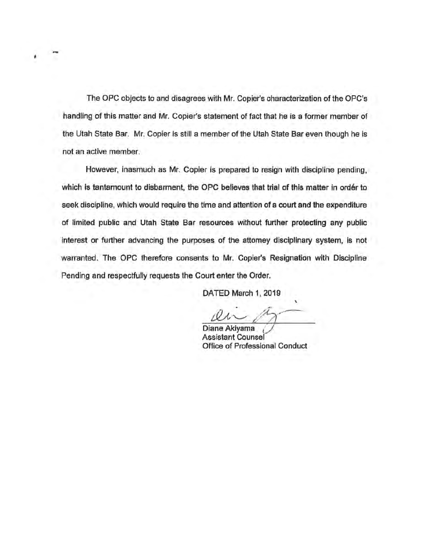The OPC objects to and disagrees with Mt. Copier's characterization of the OPC's handling of this matter and Mr. Copier's statement of fact that he is a former member of the Utah State Bar. Mr. Copier is still a member of the Utah State Bar even though he is not an active member.

'

However, inasmuch as Mr. Copier is prepared to resign with discipline pending, which is tantamount to disbarment, the OPC believes that trial of this matter in order to seek discipline, which would require the time and attention of a court and the expenditure of limited public and Utah State Bar resources without further protecting any public interest or further advancing the purposes of the attorney disciplinary system, Is not warranted. The OPC therefore consents to Mr. Copier's Resignation with Discipline Pending and respectfully requests the Court enter the Order.

DATED March 1, 2019

Diane Akiyama<br>Assistant Counsel Office of Professional Conduct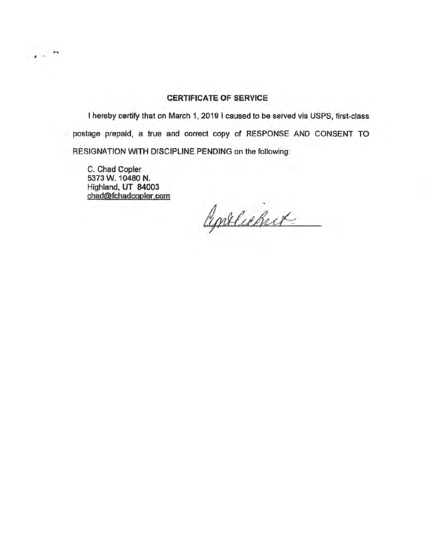## **CERTIFICATE OF SERVICE**

I hereby certify that on March 1, 2019 I caused to be served via USPS, first-class postage prepaid, a true and correct copy of RESPONSE AND CONSENT TO RESIGNATION WITH DISCIPLINE PENDING on the following:

C. Chad Copier 5373 W, 10480 N. Highland, UT 84003 chad@fchadcooier.com,

 $\sim$   $\sim$ 

Contlicher.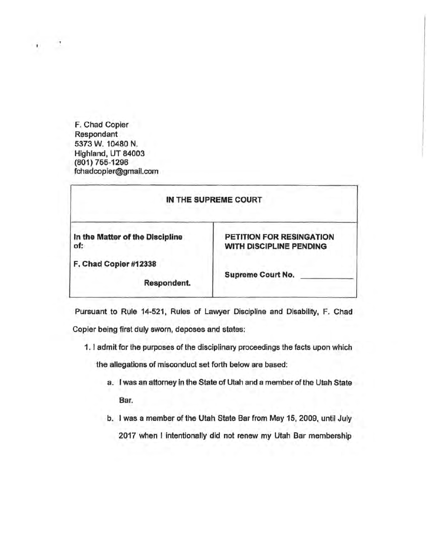F. Chad Copier Respondant 5373 W. 10480 N. Highland, UT 84003 (801)755-1296 fchadcopier@gmall.com

| IN THE SUPREME COURT                   |                                                     |
|----------------------------------------|-----------------------------------------------------|
| In the Matter of the Discipline<br>of: | PETITION FOR RESINGATION<br>WITH DISCIPLINE PENDING |
| F. Chad Copier #12338<br>Respondent.   | <b>Supreme Court No.</b>                            |

Pursuant to RUie 14-521, Rules of Lawyer Discipline and Disability, F. Chad

Copier being first duly sworn, deposes and states:

1. I admit for the purposes of the disciplinary proceedings the facts upon which

the allegations of misconduct set forth below are based:

- a. I was an attorney in the State of Utah and a member of the Utah State Bar.
- b. I was a member of the Utah State Bar from May 15, 2009, until July 2017 when I intentionally did not renew my Utah Bar membership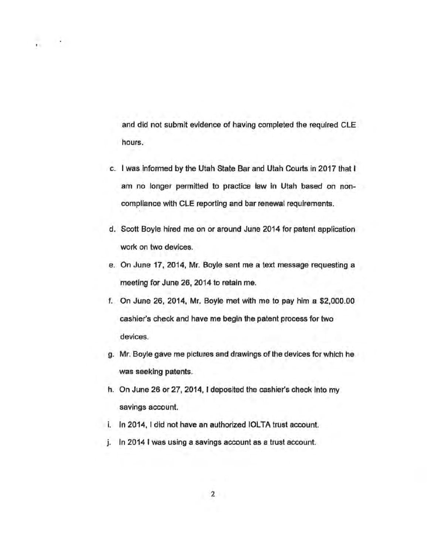and did not submit evidence of having completed the required CLE hours.

 $\mathbf{r}$ 

- c. I was informed by the Utah State Bar and Utah Courts in 2017 that I am no longer permitted to practice law in Utah based on noncompliance with CLE reporting and bar renewal requirements.
- d. Scott Boyle hired me on or around June 2014 for patent application work on two devices.
- e. On June 17, 2014, Mr. Boyle sent me a text message requesting a meeting for June 26, 2014 to retain me.
- f. On June 26, 2014, Mr. Boyle met with me to pay him a \$2,000.00 cashier's check and have me begin the patent process for two devices.
- g. Mr. Boyle gave me pictures and drawings of the devices for Which he was seeking patents.
- h. On June 26 or 27, 2014, I deposited the cashier's check into my savings account.
- i. In 2014, I did not have an authorized IOLTA trust account.
- j. In 2014 I was using a savings account as a trust account.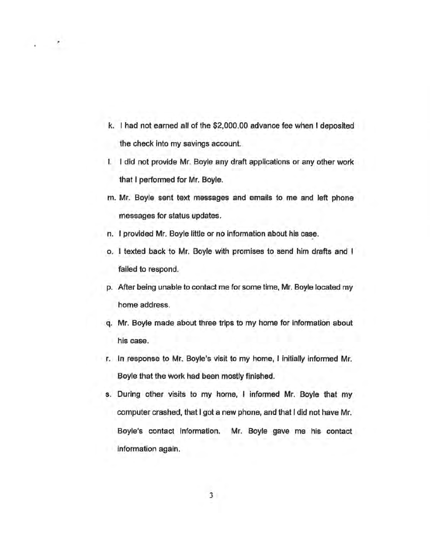k. I had not earned all of the \$2,000.00 advance fee when I deposited the check into my savings account.

"

- I. I did not provide Mr. Boyle any draft applications or any other work that I performed for Mr. Boyle.
- m. Mr. Boyle sent text messages and emails to me and left phone messages for status updates.
- n. I provided Mr. Boyle little or no information about his case.
- o. I texted back to Mr. Boyle with promises to send him drafts and I failed to respond.
- p. After being unable to contact me for some time, Mr. Boyle located my home address.
- q. Mr. Boyle made about three trips to my home for information about his case.
- r. In response to Mr. Boyle's visit to my home, I initially informed Mr. Boyle that the work had been mostly finished.
- s. During other visits to my home, I informed Mr. Boyle that my computer crashed, that I got a new phone, and that I did not have Mr. Boyle's contact information. Mr. Boyle gave me his contact information again.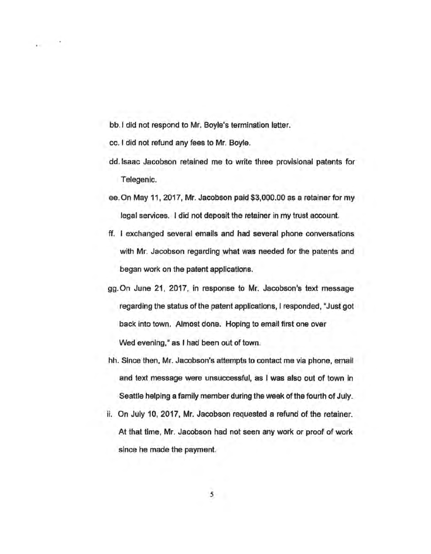bb. I did not respond to Mr. Boyle's termination letter.

cc. I did not refund any fees to Mr. Boyle.

- dd. Isaac Jacobson retained me to write three provisional patents for Telegenic.
- ee. On May 11, 2017, Mr. Jacobson paid \$3,000.00 as a retainer for my legal services. I did not deposit the retainer in rny trust account.
- ff. I exchanged several emails and had several phone conversations with Mr. Jacobson regarding what was needed for the patents and began work on the patent applications.
- gg.On June 21, 2017, In response to Mr. Jacobson's text message regarding the status of the patent applications, I responded, "Just got back into town. Almost done. Hoping to email first one over Wed evening," as I had been out of town.
- hh. Since then, Mr. Jacobson's attempts to contact me via phone, email and text message were unsuccessful, as I was also out of town in Seattle helping a family member during the week of the fourth of July.
- ii. On July 10, 2017, Mr. Jacobson requested a refund of the retainer. At that time, Mr. Jacobson had not seen any work or proof of work since he made the payment.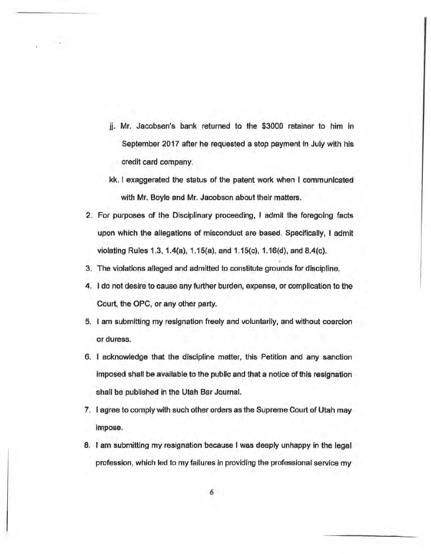- jj. Mr. Jacobsen's bank returned to the \$3000 retainer to him In September 2017 after he requested a stop payment in July with his credit card company.
- kk. I exaggerated the status of the patent work when I communicated with Mr. Boyle and Mr. Jacobson about their matters.
- 2. For purposes of the Disciplinary proceeding, I admit the foregoing facts upon which the allegations of misconduct are based. Specifically, I admit violating Rules 1.3, 1.4(a), 1.15(a), and 1.15(c}, 1.16{d), and 8.4(c).
- 3. The violations alleged and admitted to constitute grounds for discipline.
- 4. I do not desire to cause any further burden, expense, or complication to the Court, the OPC, or any other party.
- 5. I am· submitting my resignation freely and voluntarily, and without coercion or duress.
- 6. I acknowledge that the discipline matter, this Petition and any sanction imposed shall be available to the public and that a notice of this resignation shall be published in the Utah Bar Journal.
- 7. l agree to comply with such other orders as the Supreme Court of Utah may Impose.
- 8. I am submitting my resignation because I was deeply unhappy in the legal profession, which led to my failures in providing the professional service my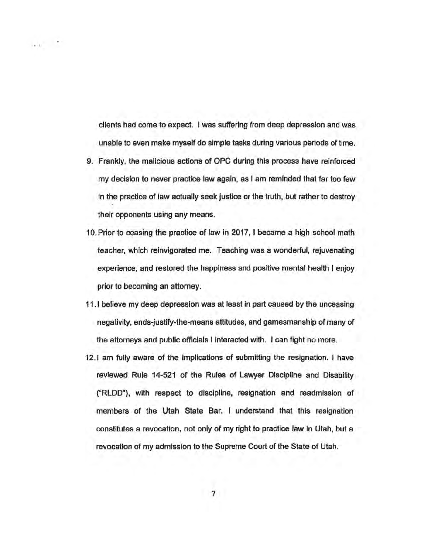clients had come to expect. I was suffering from deep depression and was unable to even make myself do simple tasks during various periods of time.

 $1.10 - 1.7$ 

- 9. Frankly, the malicious actions of OPC during this process have reinforced my decision to never practice law again, as I am reminded that fartoo few in the practice of law actually seek justice or the truth, but rather to destroy their opponents using any means.
- 10.Prior to ceasing the practice of law in 2017, I became a high school math teacher, which reinvigorated me. Teaching was a wonderful, rejuvenating experience, and restored the happiness and positive mental health I enjoy prior to becoming an attorney.
- 11. I believe my deep depression was at least in part caused by the unceasing negativity, ends-justify-the-means attitudes, and gamesmanship of many of the attorneys and public officials I interacted with. I can fight no more.
- 12.1 am fully aware of the implications of submitting the resignation. I have reviewed Rule 14-521 of the Rules of Lawyer Discipline and Disability ("RLDD"), with respect to discipline, resignation and readmission of members of the Utah State Bar. I understand that this resignation constitutes a revocation, not only of my right to practice law in Utah, but a revocation of my admission to the Supreme Court of the State of Utah.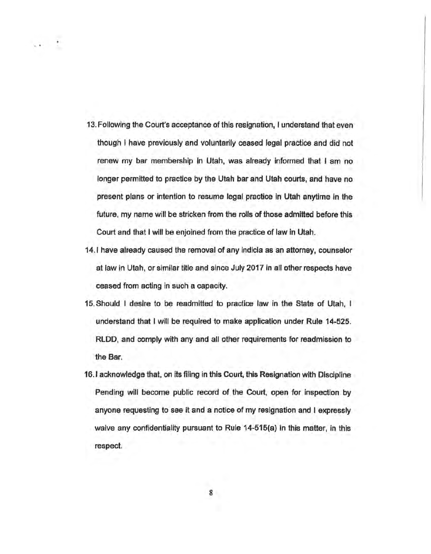- 13. Following the Court's acceptahce of this resignation, I understand that even though I have previously and voluntarily ceased legal practice and did not renew my bar membership In Utah, was already informed that I am no longer permitted to practice by the Utah bar and Utah courts, and have no present plans or intention to resume legal practice in Utah anytime in the future, my name will be stricken from the rolls of those admitted before this Court and that I will be enjoined from the practice of law in Utah.
- 14.1 have already caused the removal of any indicia as an attorney, counselor at law in Utah, or similar title and since July 2017 in all other respects have ceased from acting in such a capacity.
- 15. Should I desire to be readmitted to practice law in the State of Utah, I understand that I will be required to make application under Rule 14-525. RLOO, and comply with any and all other requirements for readmission to the Bar.
- 16.1 acknowledge that, on its filing in this Court, this Resignation with Discipline Pending will become public record of the Court, open for inspection by anyone requesting to see it and a notice of my resignation and I expressly waive any confidentiality pursuant to Rule 14-515(a) in this matter, in this respect.